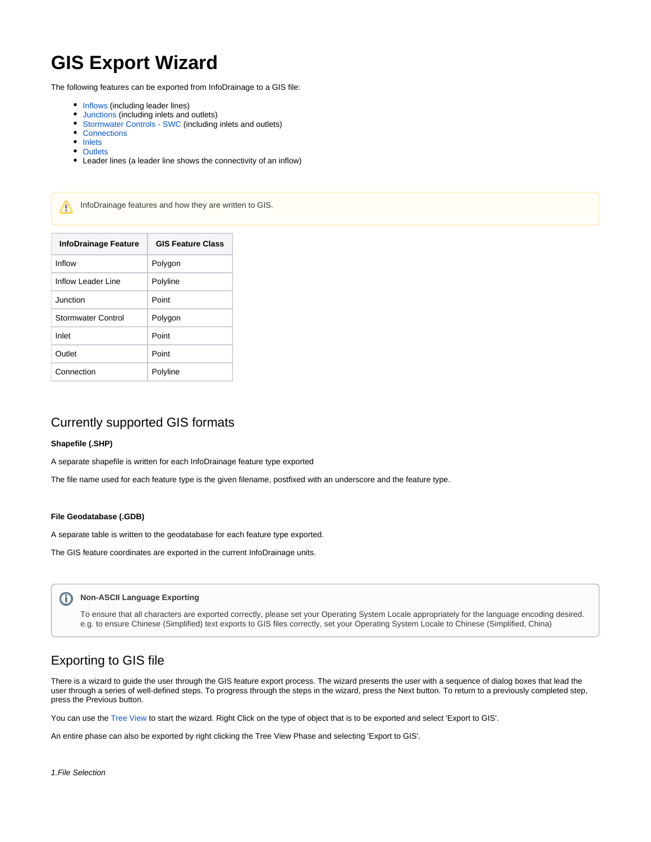# **GIS Export Wizard**

The following features can be exported from InfoDrainage to a GIS file:

- **[Inflows](https://help.innovyze.com/display/infodrainage2021v1/Inflows) (including leader lines)**
- [Junctions](https://help.innovyze.com/display/infodrainage2021v1/Junctions) (including inlets and outlets)
- $\bullet$ [Stormwater Controls - SWC](https://help.innovyze.com/display/infodrainage2021v1/Stormwater+Controls+-+SWC) (including inlets and outlets)
- [Connections](https://help.innovyze.com/display/infodrainage2021v1/Connections)
- [Inlets](https://help.innovyze.com/display/infodrainage2021v1/Inlets)  $\bullet$
- **[Outlets](https://help.innovyze.com/display/infodrainage2021v1/Outlets)**

Λ

Leader lines (a leader line shows the connectivity of an inflow)

InfoDrainage features and how they are written to GIS.

| <b>InfoDrainage Feature</b> | <b>GIS Feature Class</b> |
|-----------------------------|--------------------------|
| Inflow                      | Polygon                  |
| Inflow Leader Line          | Polyline                 |
| Junction                    | Point                    |
| Stormwater Control          | Polygon                  |
| Inlet                       | Point                    |
| Outlet                      | Point                    |
| Connection                  | Polyline                 |

## Currently supported GIS formats

### **Shapefile (.SHP)**

A separate shapefile is written for each InfoDrainage feature type exported

The file name used for each feature type is the given filename, postfixed with an underscore and the feature type.

#### **File Geodatabase (.GDB)**

A separate table is written to the geodatabase for each feature type exported.

The GIS feature coordinates are exported in the current InfoDrainage units.

#### ⋒ **Non-ASCII Language Exporting**

To ensure that all characters are exported correctly, please set your Operating System Locale appropriately for the language encoding desired. e.g. to ensure Chinese (Simplified) text exports to GIS files correctly, set your Operating System Locale to Chinese (Simplified, China)

## Exporting to GIS file

There is a wizard to guide the user through the GIS feature export process. The wizard presents the user with a sequence of dialog boxes that lead the user through a series of well-defined steps. To progress through the steps in the wizard, press the Next button. To return to a previously completed step, press the Previous button.

You can use the [Tree View](https://help.innovyze.com/display/infodrainage2021v1/Tree+View) to start the wizard. Right Click on the type of object that is to be exported and select 'Export to GIS'.

An entire phase can also be exported by right clicking the Tree View Phase and selecting 'Export to GIS'.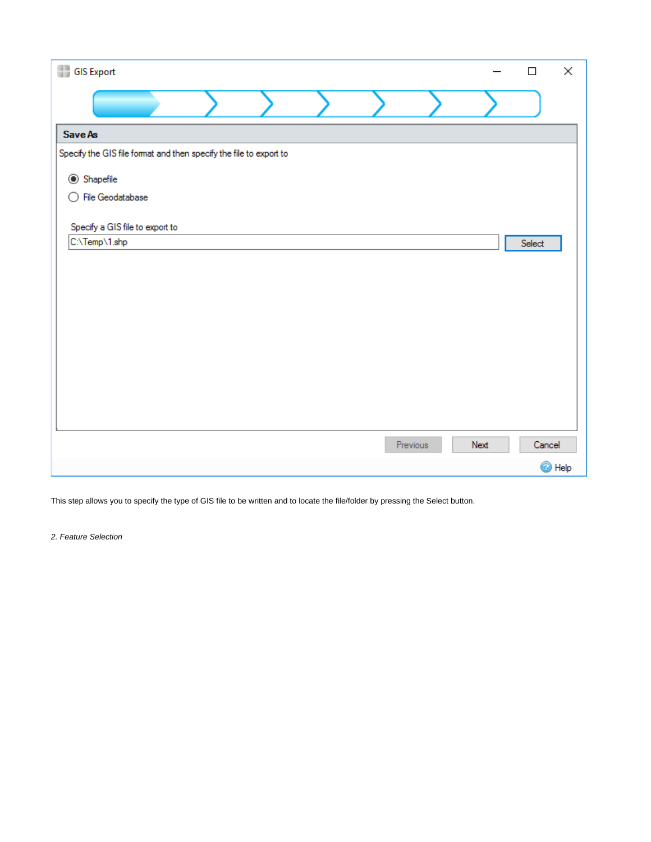| <b>GIS Export</b>                                                  |          |      | П      | ×      |
|--------------------------------------------------------------------|----------|------|--------|--------|
|                                                                    |          |      |        |        |
| Save As                                                            |          |      |        |        |
| Specify the GIS file format and then specify the file to export to |          |      |        |        |
| Shapefile                                                          |          |      |        |        |
| ◯ File Geodatabase                                                 |          |      |        |        |
| Specify a GIS file to export to                                    |          |      |        |        |
| C:\Temp\1.shp                                                      |          |      | Select |        |
|                                                                    |          |      |        |        |
|                                                                    |          |      |        |        |
|                                                                    |          |      |        |        |
|                                                                    |          |      |        |        |
|                                                                    |          |      |        |        |
|                                                                    |          |      |        |        |
|                                                                    |          |      |        |        |
|                                                                    |          |      |        |        |
|                                                                    | Previous | Next | Cancel |        |
|                                                                    |          |      |        | @ Help |

This step allows you to specify the type of GIS file to be written and to locate the file/folder by pressing the Select button.

2. Feature Selection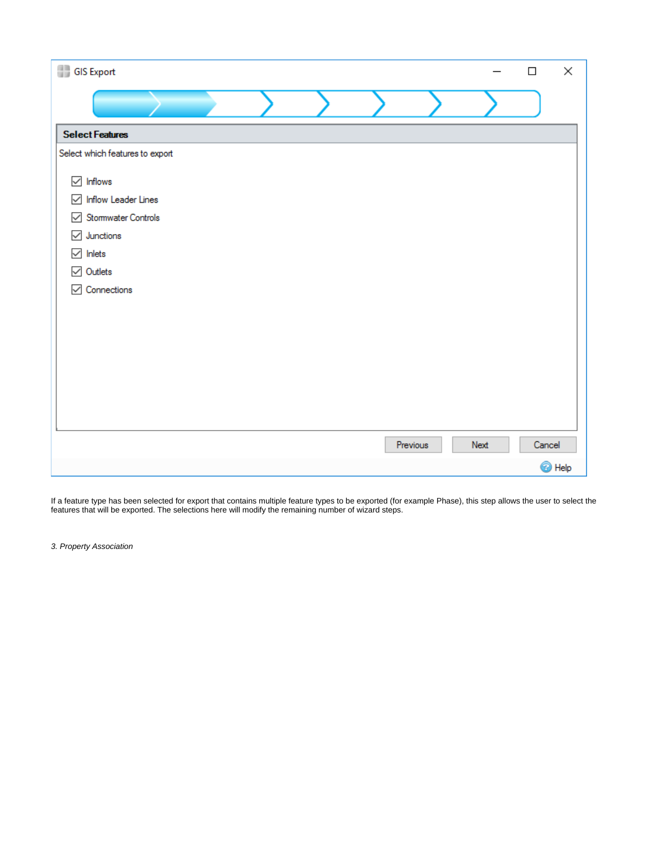| <b>GIS Export</b>                        |  |          |      | $\Box$ | ×             |
|------------------------------------------|--|----------|------|--------|---------------|
|                                          |  |          |      |        |               |
| <b>Select Features</b>                   |  |          |      |        |               |
| Select which features to export          |  |          |      |        |               |
| Inflows<br>$\checkmark$                  |  |          |      |        |               |
| $\sqrt{\phantom{a}}$ Inflow Leader Lines |  |          |      |        |               |
| Stomwater Controls<br>$\checkmark$       |  |          |      |        |               |
| Junctions<br>$\checkmark$                |  |          |      |        |               |
| Inlets<br>$\checkmark$                   |  |          |      |        |               |
| Outlets<br>$\checkmark$                  |  |          |      |        |               |
| $\sqrt{ }$ Connections                   |  |          |      |        |               |
|                                          |  |          |      |        |               |
|                                          |  |          |      |        |               |
|                                          |  |          |      |        |               |
|                                          |  |          |      |        |               |
|                                          |  |          |      |        |               |
|                                          |  |          |      |        |               |
|                                          |  |          |      |        |               |
|                                          |  | Previous | Next | Cancel |               |
|                                          |  |          |      |        | <b>O</b> Help |

If a feature type has been selected for export that contains multiple feature types to be exported (for example Phase), this step allows the user to select the features that will be exported. The selections here will modify the remaining number of wizard steps.

3. Property Association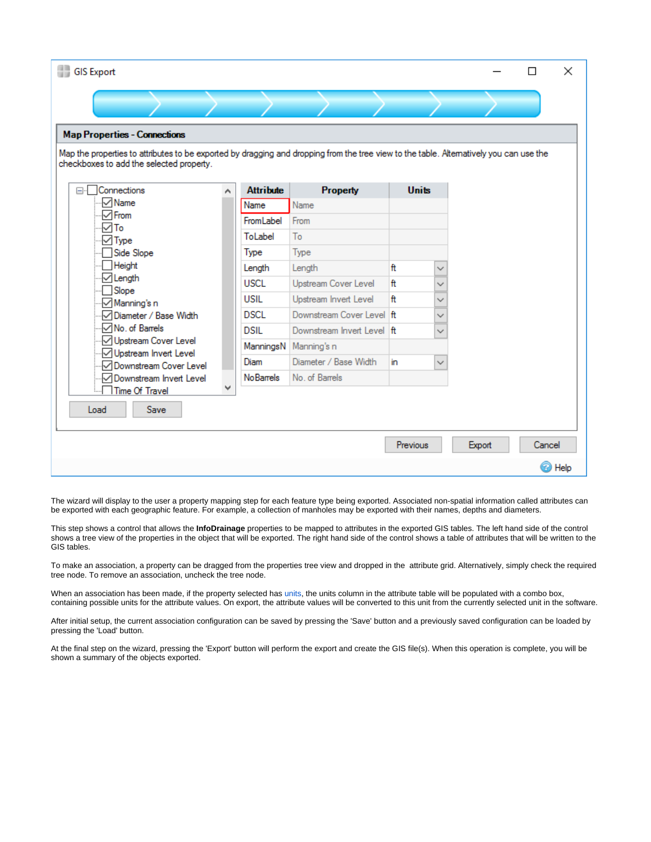| <b>GIS Export</b>                                                                                                                                                                  |   |                  |                            |              |              |        | П      | ×      |
|------------------------------------------------------------------------------------------------------------------------------------------------------------------------------------|---|------------------|----------------------------|--------------|--------------|--------|--------|--------|
|                                                                                                                                                                                    |   |                  |                            |              |              |        |        |        |
| <b>Map Properties - Connections</b>                                                                                                                                                |   |                  |                            |              |              |        |        |        |
| Map the properties to attributes to be exported by dragging and dropping from the tree view to the table. Altematively you can use the<br>checkboxes to add the selected property. |   |                  |                            |              |              |        |        |        |
| <b>Connections</b><br>日…                                                                                                                                                           | ∼ | <b>Attribute</b> | <b>Property</b>            | <b>Units</b> |              |        |        |        |
| √Name                                                                                                                                                                              |   | Name             | Name                       |              |              |        |        |        |
| $\vee$ From                                                                                                                                                                        |   | From Label       | From                       |              |              |        |        |        |
| То<br>✓                                                                                                                                                                            |   | ToLabel          | To                         |              |              |        |        |        |
| $\sqrt{}$ Type                                                                                                                                                                     |   |                  |                            |              |              |        |        |        |
| Side Slope<br>Height                                                                                                                                                               |   | Type             | <b>Type</b>                |              |              |        |        |        |
| $\vee$ Length                                                                                                                                                                      |   | Length           | Length                     | ft           | v            |        |        |        |
| Slope                                                                                                                                                                              |   | <b>USCL</b>      | Upstream Cover Level       | ft           | $\checkmark$ |        |        |        |
| $\sqrt{N}$ Manning's n                                                                                                                                                             |   | USIL             | Upstream Invert Level      | ft.          | $\checkmark$ |        |        |        |
| Diameter / Base Width                                                                                                                                                              |   | <b>DSCL</b>      | Downstream Cover Level ft  |              | ✓            |        |        |        |
| √No. of Barrels<br>Upstream Cover Level                                                                                                                                            |   | <b>DSIL</b>      | Downstream Invert Level ft |              | $\checkmark$ |        |        |        |
| Upstream Invert Level                                                                                                                                                              |   | ManningsN        | Manning's n                |              |              |        |        |        |
| Downstream Cover Level<br>✓                                                                                                                                                        |   | Diam             | Diameter / Base Width      | in           | $\checkmark$ |        |        |        |
| Downstream Invert Level                                                                                                                                                            |   | <b>NoBarrels</b> | No. of Barrels             |              |              |        |        |        |
| <b>Time Of Travel</b>                                                                                                                                                              |   |                  |                            |              |              |        |        |        |
| Save<br>Load                                                                                                                                                                       |   |                  |                            |              |              |        |        |        |
|                                                                                                                                                                                    |   |                  |                            |              |              |        |        |        |
|                                                                                                                                                                                    |   |                  |                            | Previous     |              | Export | Cancel |        |
|                                                                                                                                                                                    |   |                  |                            |              |              |        |        | t Help |

The wizard will display to the user a property mapping step for each feature type being exported. Associated non-spatial information called attributes can be exported with each geographic feature. For example, a collection of manholes may be exported with their names, depths and diameters.

This step shows a control that allows the **InfoDrainage** properties to be mapped to attributes in the exported GIS tables. The left hand side of the control shows a tree view of the properties in the object that will be exported. The right hand side of the control shows a table of attributes that will be written to the GIS tables.

To make an association, a property can be dragged from the properties tree view and dropped in the attribute grid. Alternatively, simply check the required tree node. To remove an association, uncheck the tree node.

When an association has been made, if the property selected has [units,](https://help.innovyze.com/display/infodrainage2021v1/Unit+Selection) the units column in the attribute table will be populated with a combo box, containing possible units for the attribute values. On export, the attribute values will be converted to this unit from the currently selected unit in the software.

After initial setup, the current association configuration can be saved by pressing the 'Save' button and a previously saved configuration can be loaded by pressing the 'Load' button.

At the final step on the wizard, pressing the 'Export' button will perform the export and create the GIS file(s). When this operation is complete, you will be shown a summary of the objects exported.